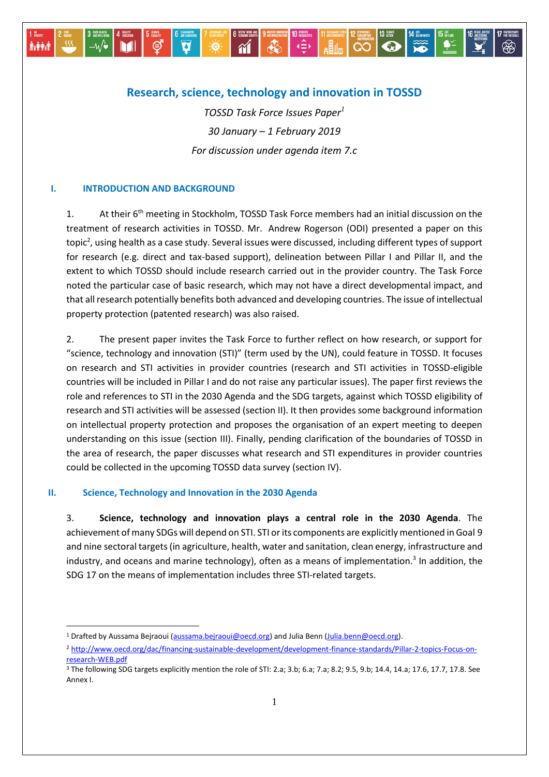# **Research, science, technology and innovation in TOSSD**

*TOSSD Task Force Issues Paper<sup>1</sup> 30 January – 1 February 2019 For discussion under agenda item 7.c*

## **I. INTRODUCTION AND BACKGROUND**

o agwelen<br>—⁄W

**Aship** 

N

1. At their 6<sup>th</sup> meeting in Stockholm, TOSSD Task Force members had an initial discussion on the treatment of research activities in TOSSD. Mr. Andrew Rogerson (ODI) presented a paper on this topic<sup>2</sup>, using health as a case study. Several issues were discussed, including different types of support for research (e.g. direct and tax-based support), delineation between Pillar I and Pillar II, and the extent to which TOSSD should include research carried out in the provider country. The Task Force noted the particular case of basic research, which may not have a direct developmental impact, and that all research potentially benefits both advanced and developing countries. The issue of intellectual property protection (patented research) was also raised.

2. The present paper invites the Task Force to further reflect on how research, or support for "science, technology and innovation (STI)" (term used by the UN), could feature in TOSSD. It focuses on research and STI activities in provider countries (research and STI activities in TOSSD-eligible countries will be included in Pillar I and do not raise any particular issues). The paper first reviews the role and references to STI in the 2030 Agenda and the SDG targets, against which TOSSD eligibility of research and STI activities will be assessed (section II). It then provides some background information on intellectual property protection and proposes the organisation of an expert meeting to deepen understanding on this issue (section III). Finally, pending clarification of the boundaries of TOSSD in the area of research, the paper discusses what research and STI expenditures in provider countries could be collected in the upcoming TOSSD data survey (section IV).

### **II. Science, Technology and Innovation in the 2030 Agenda**

-

3. **Science, technology and innovation plays a central role in the 2030 Agenda**. The achievement of many SDGs will depend on STI. STI or its components are explicitly mentioned in Goal 9 and nine sectoral targets (in agriculture, health, water and sanitation, clean energy, infrastructure and industry, and oceans and marine technology), often as a means of implementation.<sup>3</sup> In addition, the SDG 17 on the means of implementation includes three STI-related targets.

<sup>&</sup>lt;sup>1</sup> Drafted by Aussama Bejraoui [\(aussama.bejraoui@oecd.org\)](mailto:aussama.bejraoui@oecd.org) and Julia Benn [\(Julia.benn@oecd.org\)](mailto:Julia.benn@oecd.org).

<sup>2</sup> [http://www.oecd.org/dac/financing-sustainable-development/development-finance-standards/Pillar-2-topics-Focus-on](http://www.oecd.org/dac/financing-sustainable-development/development-finance-standards/Pillar-2-topics-Focus-on-research-WEB.pdf)[research-WEB.pdf](http://www.oecd.org/dac/financing-sustainable-development/development-finance-standards/Pillar-2-topics-Focus-on-research-WEB.pdf)

<sup>&</sup>lt;sup>3</sup> The following SDG targets explicitly mention the role of STI: 2.a; 3.b; 6.a; 7.a; 8.2; 9.5, 9.b; 14.4, 14.a; 17.6, 17.7, 17.8. See Annex I.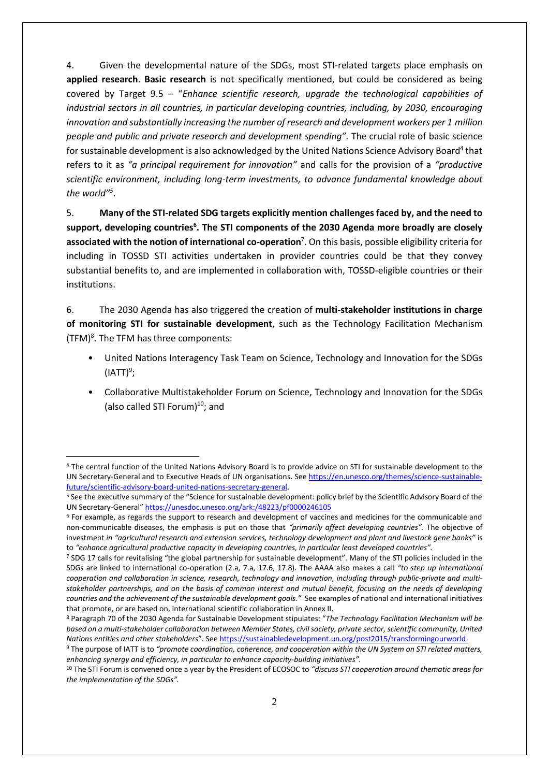4. Given the developmental nature of the SDGs, most STI-related targets place emphasis on **applied research**. **Basic research** is not specifically mentioned, but could be considered as being covered by Target 9.5 – "*Enhance scientific research, upgrade the technological capabilities of industrial sectors in all countries, in particular developing countries, including, by 2030, encouraging innovation and substantially increasing the number of research and development workers per 1 million people and public and private research and development spending".* The crucial role of basic science for sustainable development is also acknowledged by the United Nations Science Advisory Board<sup>4</sup> that refers to it as *"a principal requirement for innovation"* and calls for the provision of a *"productive scientific environment, including long-term investments, to advance fundamental knowledge about the world" 5* .

5. **Many of the STI-related SDG targets explicitly mention challenges faced by, and the need to support, developing countries<sup>6</sup> . The STI components of the 2030 Agenda more broadly are closely associated with the notion of international co-operation**<sup>7</sup> . On this basis, possible eligibility criteria for including in TOSSD STI activities undertaken in provider countries could be that they convey substantial benefits to, and are implemented in collaboration with, TOSSD-eligible countries or their institutions.

6. The 2030 Agenda has also triggered the creation of **multi-stakeholder institutions in charge of monitoring STI for sustainable development**, such as the Technology Facilitation Mechanism  $(TFM)<sup>8</sup>$ . The TFM has three components:

- United Nations Interagency Task Team on Science, Technology and Innovation for the SDGs (IATT) $9$ ;
- Collaborative Multistakeholder Forum on Science, Technology and Innovation for the SDGs (also called STI Forum) $^{10}$ ; and

-

<sup>4</sup> The central function of the United Nations Advisory Board is to provide advice on STI for sustainable development to the UN Secretary-General and to Executive Heads of UN organisations. See [https://en.unesco.org/themes/science-sustainable](https://en.unesco.org/themes/science-sustainable-future/scientific-advisory-board-united-nations-secretary-general)[future/scientific-advisory-board-united-nations-secretary-general.](https://en.unesco.org/themes/science-sustainable-future/scientific-advisory-board-united-nations-secretary-general)

<sup>5</sup> See the executive summary of the "Science for sustainable development: policy brief by the Scientific Advisory Board of the UN Secretary-General" <https://unesdoc.unesco.org/ark:/48223/pf0000246105>

<sup>6</sup> For example, as regards the support to research and development of vaccines and medicines for the communicable and non-communicable diseases, the emphasis is put on those that *"primarily affect developing countries".* The objective of investment *in "agricultural research and extension services, technology development and plant and livestock gene banks"* is to *"enhance agricultural productive capacity in developing countries, in particular least developed countries".*

<sup>7</sup> SDG 17 calls for revitalising "the global partnership for sustainable development". Many of the STI policies included in the SDGs are linked to international co-operation (2.a, 7.a, 17.6, 17.8). The AAAA also makes a call *"to step up international cooperation and collaboration in science, research, technology and innovation, including through public-private and multistakeholder partnerships, and on the basis of common interest and mutual benefit, focusing on the needs of developing countries and the achievement of the sustainable development goals."* See examples of national and international initiatives that promote, or are based on, international scientific collaboration in Annex II.

<sup>8</sup> Paragraph 70 of the 2030 Agenda for Sustainable Development stipulates: "*The Technology Facilitation Mechanism will be based on a multi-stakeholder collaboration between Member States, civil society, private sector, scientific community, United Nations entities and other stakeholders*". Se[e https://sustainabledevelopment.un.org/post2015/transformingourworld.](https://sustainabledevelopment.un.org/post2015/transformingourworld)

<sup>9</sup> The purpose of IATT is to *"promote coordination, coherence, and cooperation within the UN System on STI related matters, enhancing synergy and efficiency, in particular to enhance capacity-building initiatives".*

<sup>10</sup> The STI Forum is convened once a year by the President of ECOSOC to *"discuss STI cooperation around thematic areas for the implementation of the SDGs".*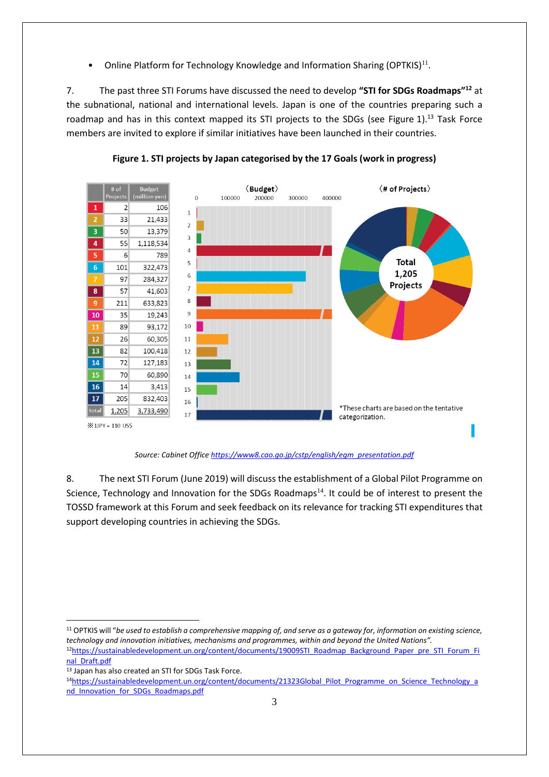• Online Platform for Technology Knowledge and Information Sharing (OPTKIS) $^{11}$ .

7. The past three STI Forums have discussed the need to develop **"STI for SDGs Roadmaps"<sup>12</sup>** at the subnational, national and international levels. Japan is one of the countries preparing such a roadmap and has in this context mapped its STI projects to the SDGs (see Figure 1).<sup>13</sup> Task Force members are invited to explore if similar initiatives have been launched in their countries.



**Figure 1. STI projects by Japan categorised by the 17 Goals (work in progress)**

*Source: Cabinet Office [https://www8.cao.go.jp/cstp/english/egm\\_presentation.pdf](https://www8.cao.go.jp/cstp/english/egm_presentation.pdf)*

8. The next STI Forum (June 2019) will discuss the establishment of a Global Pilot Programme on Science, Technology and Innovation for the SDGs Roadmaps<sup>14</sup>. It could be of interest to present the TOSSD framework at this Forum and seek feedback on its relevance for tracking STI expenditures that support developing countries in achieving the SDGs*.*

<sup>11</sup> OPTKIS will "*be used to establish a comprehensive mapping of, and serve as a gateway for, information on existing science, technology and innovation initiatives, mechanisms and programmes, within and beyond the United Nations".*  12[https://sustainabledevelopment.un.org/content/documents/19009STI\\_Roadmap\\_Background\\_Paper\\_pre\\_STI\\_Forum\\_Fi](https://sustainabledevelopment.un.org/content/documents/19009STI_Roadmap_Background_Paper_pre_STI_Forum_Final_Draft.pdf)\_

-

<sup>13</sup> Japan has also created an STI for SDGs Task Force.

[nal\\_Draft.pdf](https://sustainabledevelopment.un.org/content/documents/19009STI_Roadmap_Background_Paper_pre_STI_Forum_Final_Draft.pdf) 

<sup>14</sup>[https://sustainabledevelopment.un.org/content/documents/21323Global\\_Pilot\\_Programme\\_on\\_Science\\_Technology\\_a](https://sustainabledevelopment.un.org/content/documents/21323Global_Pilot_Programme_on_Science_Technology_and_Innovation_for_SDGs_Roadmaps.pdf) [nd\\_Innovation\\_for\\_SDGs\\_Roadmaps.pdf](https://sustainabledevelopment.un.org/content/documents/21323Global_Pilot_Programme_on_Science_Technology_and_Innovation_for_SDGs_Roadmaps.pdf)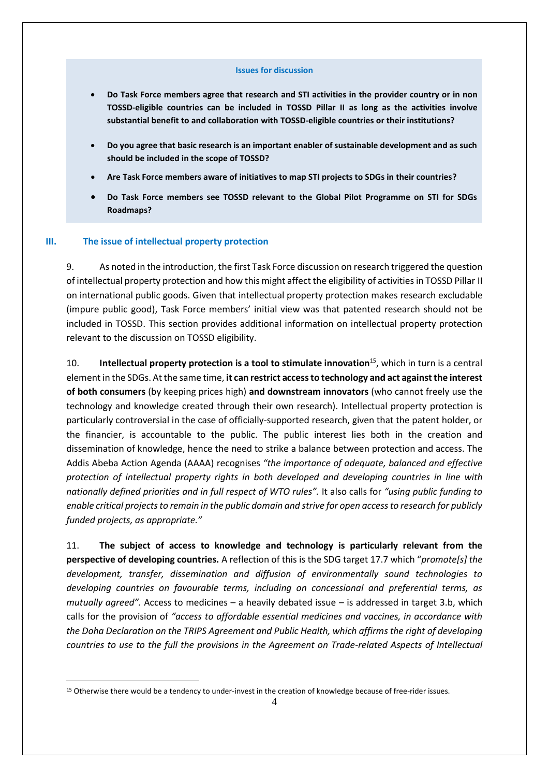#### **Issues for discussion**

- **Do Task Force members agree that research and STI activities in the provider country or in non TOSSD-eligible countries can be included in TOSSD Pillar II as long as the activities involve substantial benefit to and collaboration with TOSSD-eligible countries or their institutions?**
- **Do you agree that basic research is an important enabler of sustainable development and as such should be included in the scope of TOSSD?**
- **Are Task Force members aware of initiatives to map STI projects to SDGs in their countries?**
- **Do Task Force members see TOSSD relevant to the Global Pilot Programme on STI for SDGs Roadmaps?**

#### **III. The issue of intellectual property protection**

1

9. As noted in the introduction, the first Task Force discussion on research triggered the question of intellectual property protection and how this might affect the eligibility of activities in TOSSD Pillar II on international public goods. Given that intellectual property protection makes research excludable (impure public good), Task Force members' initial view was that patented research should not be included in TOSSD. This section provides additional information on intellectual property protection relevant to the discussion on TOSSD eligibility.

10. **Intellectual property protection is a tool to stimulate innovation**<sup>15</sup> , which in turn is a central element in the SDGs. At the same time, **it can restrict access to technology and act against the interest of both consumers** (by keeping prices high) **and downstream innovators** (who cannot freely use the technology and knowledge created through their own research). Intellectual property protection is particularly controversial in the case of officially-supported research, given that the patent holder, or the financier, is accountable to the public. The public interest lies both in the creation and dissemination of knowledge, hence the need to strike a balance between protection and access. The Addis Abeba Action Agenda (AAAA) recognises *"the importance of adequate, balanced and effective protection of intellectual property rights in both developed and developing countries in line with nationally defined priorities and in full respect of WTO rules".* It also calls for *"using public funding to enable critical projects to remain in the public domain and strive for open access to research for publicly funded projects, as appropriate."*

11. **The subject of access to knowledge and technology is particularly relevant from the perspective of developing countries.** A reflection of this is the SDG target 17.7 which "*promote[s] the development, transfer, dissemination and diffusion of environmentally sound technologies to developing countries on favourable terms, including on concessional and preferential terms, as mutually agreed".* Access to medicines – a heavily debated issue – is addressed in target 3.b, which calls for the provision of *"access to affordable essential medicines and vaccines, in accordance with the Doha Declaration on the TRIPS Agreement and Public Health, which affirms the right of developing countries to use to the full the provisions in the Agreement on Trade-related Aspects of Intellectual* 

<sup>&</sup>lt;sup>15</sup> Otherwise there would be a tendency to under-invest in the creation of knowledge because of free-rider issues.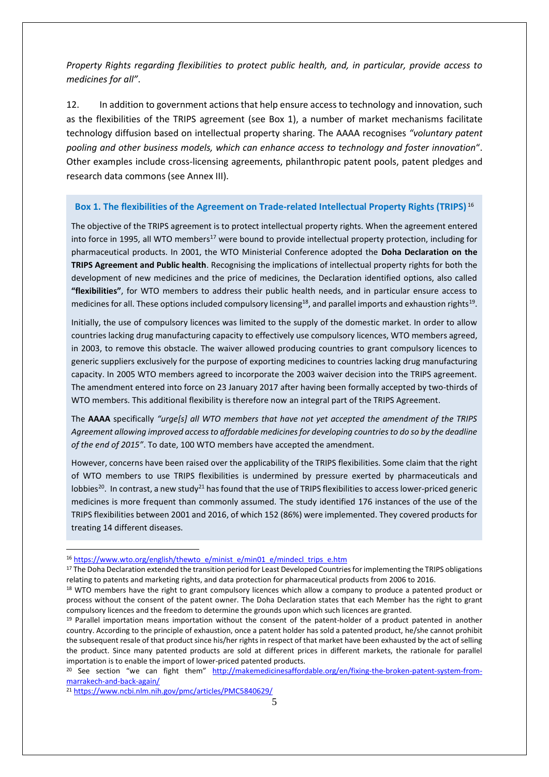*Property Rights regarding flexibilities to protect public health, and, in particular, provide access to medicines for all"*.

12. In addition to government actions that help ensure access to technology and innovation, such as the flexibilities of the TRIPS agreement (see Box 1), a number of market mechanisms facilitate technology diffusion based on intellectual property sharing. The AAAA recognises *"voluntary patent pooling and other business models, which can enhance access to technology and foster innovation*". Other examples include cross-licensing agreements, philanthropic patent pools, patent pledges and research data commons (see Annex III).

### **Box 1. The flexibilities of the Agreement on Trade-related Intellectual Property Rights (TRIPS)** <sup>16</sup>

The objective of the TRIPS agreement is to protect intellectual property rights. When the agreement entered into force in 1995, all WTO members<sup>17</sup> were bound to provide intellectual property protection, including for pharmaceutical products. In 2001, the WTO Ministerial Conference adopted the **Doha Declaration on the TRIPS Agreement and Public health**. Recognising the implications of intellectual property rights for both the development of new medicines and the price of medicines, the Declaration identified options, also called **"flexibilities"**, for WTO members to address their public health needs, and in particular ensure access to medicines for all. These options included compulsory licensing $^{18}$ , and parallel imports and exhaustion rights $^{19}$ .

Initially, the use of compulsory licences was limited to the supply of the domestic market. In order to allow countries lacking drug manufacturing capacity to effectively use compulsory licences, WTO members agreed, in 2003, to remove this obstacle. The waiver allowed producing countries to grant compulsory licences to generic suppliers exclusively for the purpose of exporting medicines to countries lacking drug manufacturing capacity. In 2005 WTO members agreed to incorporate the 2003 waiver decision into the TRIPS agreement. The amendment entered into force on 23 January 2017 after having been formally accepted by two-thirds of WTO members. This additional flexibility is therefore now an integral part of the TRIPS Agreement.

The **AAAA** specifically *"urge[s] all WTO members that have not yet accepted the amendment of the TRIPS Agreement allowing improved access to affordable medicines for developing countries to do so by the deadline of the end of 2015"*. To date, 100 WTO members have accepted the amendment.

However, concerns have been raised over the applicability of the TRIPS flexibilities. Some claim that the right of WTO members to use TRIPS flexibilities is undermined by pressure exerted by pharmaceuticals and lobbies<sup>20</sup>. In contrast, a new study<sup>21</sup> has found that the use of TRIPS flexibilities to access lower-priced generic medicines is more frequent than commonly assumed. The study identified 176 instances of the use of the TRIPS flexibilities between 2001 and 2016, of which 152 (86%) were implemented. They covered products for treating 14 different diseases.

-

<sup>&</sup>lt;sup>16</sup> [https://www.wto.org/english/thewto\\_e/minist\\_e/min01\\_e/mindecl\\_trips\\_e.htm](https://www.wto.org/english/thewto_e/minist_e/min01_e/mindecl_trips_e.htm)

<sup>&</sup>lt;sup>17</sup> The Doha Declaration extended the transition period for Least Developed Countries for implementing the TRIPS obligations relating to patents and marketing rights, and data protection for pharmaceutical products from 2006 to 2016.

<sup>&</sup>lt;sup>18</sup> WTO members have the right to grant compulsory licences which allow a company to produce a patented product or process without the consent of the patent owner. The Doha Declaration states that each Member has the right to grant compulsory licences and the freedom to determine the grounds upon which such licences are granted.

<sup>&</sup>lt;sup>19</sup> Parallel importation means importation without the consent of the patent-holder of a product patented in another country. According to the principle of exhaustion, once a patent holder has sold a patented product, he/she cannot prohibit the subsequent resale of that product since his/her rights in respect of that market have been exhausted by the act of selling the product. Since many patented products are sold at different prices in different markets, the rationale for parallel importation is to enable the import of lower-priced patented products.

<sup>&</sup>lt;sup>20</sup> See section "we can fight them" [http://makemedicinesaffordable.org/en/fixing-the-broken-patent-system-from](http://makemedicinesaffordable.org/en/fixing-the-broken-patent-system-from-marrakech-and-back-again/)[marrakech-and-back-again/](http://makemedicinesaffordable.org/en/fixing-the-broken-patent-system-from-marrakech-and-back-again/)

<sup>21</sup> <https://www.ncbi.nlm.nih.gov/pmc/articles/PMC5840629/>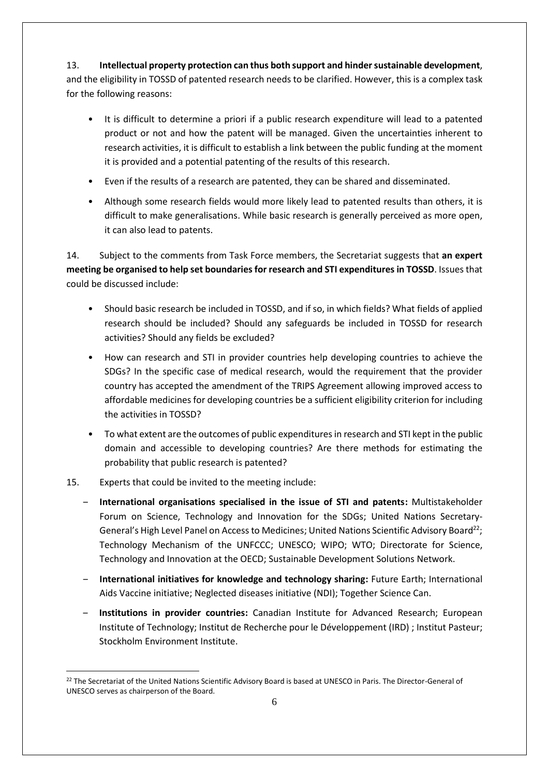13. **Intellectual property protection can thus both support and hinder sustainable development**, and the eligibility in TOSSD of patented research needs to be clarified. However, this is a complex task for the following reasons:

- It is difficult to determine a priori if a public research expenditure will lead to a patented product or not and how the patent will be managed. Given the uncertainties inherent to research activities, it is difficult to establish a link between the public funding at the moment it is provided and a potential patenting of the results of this research.
- Even if the results of a research are patented, they can be shared and disseminated.
- Although some research fields would more likely lead to patented results than others, it is difficult to make generalisations. While basic research is generally perceived as more open, it can also lead to patents.

14. Subject to the comments from Task Force members, the Secretariat suggests that **an expert meeting be organised to help set boundaries for research and STI expenditures in TOSSD**. Issues that could be discussed include:

- Should basic research be included in TOSSD, and if so, in which fields? What fields of applied research should be included? Should any safeguards be included in TOSSD for research activities? Should any fields be excluded?
- How can research and STI in provider countries help developing countries to achieve the SDGs? In the specific case of medical research, would the requirement that the provider country has accepted the amendment of the TRIPS Agreement allowing improved access to affordable medicines for developing countries be a sufficient eligibility criterion for including the activities in TOSSD?
- To what extent are the outcomes of public expenditures in research and STI kept in the public domain and accessible to developing countries? Are there methods for estimating the probability that public research is patented?
- 15. Experts that could be invited to the meeting include:

1

- ‒ **International organisations specialised in the issue of STI and patents:** Multistakeholder Forum on Science, Technology and Innovation for the SDGs; United Nations Secretary-General's High Level Panel on Access to Medicines; United Nations Scientific Advisory Board<sup>22</sup>; Technology Mechanism of the UNFCCC; UNESCO; WIPO; WTO; Directorate for Science, Technology and Innovation at the OECD; Sustainable Development Solutions Network.
- ‒ **International initiatives for knowledge and technology sharing:** Future Earth; International Aids Vaccine initiative; Neglected diseases initiative (NDI); Together Science Can.
- ‒ **Institutions in provider countries:** Canadian Institute for Advanced Research; European Institute of Technology; Institut de Recherche pour le Développement (IRD) ; Institut Pasteur; Stockholm Environment Institute.

<sup>&</sup>lt;sup>22</sup> The Secretariat of the United Nations Scientific Advisory Board is based at UNESCO in Paris. The Director-General of UNESCO serves as chairperson of the Board.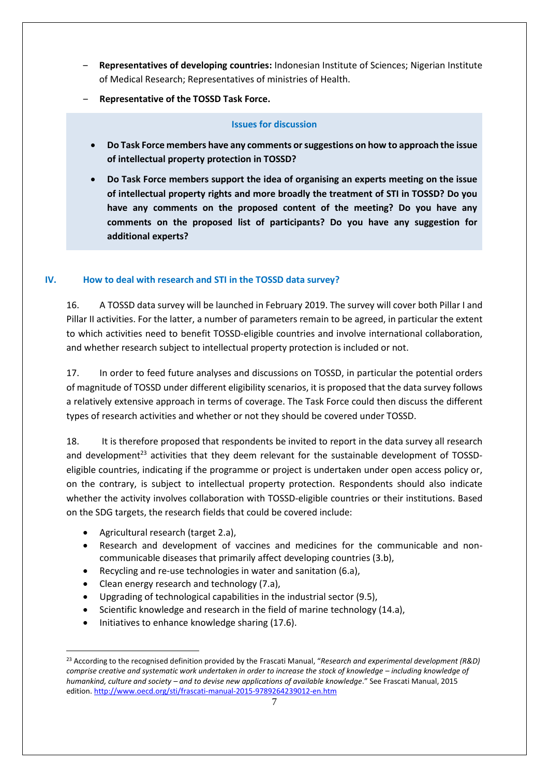- ‒ **Representatives of developing countries:** Indonesian Institute of Sciences; Nigerian Institute of Medical Research; Representatives of ministries of Health.
- ‒ **Representative of the TOSSD Task Force.**

### **Issues for discussion**

- **Do Task Force members have any comments or suggestions on how to approach the issue of intellectual property protection in TOSSD?**
- **Do Task Force members support the idea of organising an experts meeting on the issue of intellectual property rights and more broadly the treatment of STI in TOSSD? Do you have any comments on the proposed content of the meeting? Do you have any comments on the proposed list of participants? Do you have any suggestion for additional experts?**

## **IV. How to deal with research and STI in the TOSSD data survey?**

16. A TOSSD data survey will be launched in February 2019. The survey will cover both Pillar I and Pillar II activities. For the latter, a number of parameters remain to be agreed, in particular the extent to which activities need to benefit TOSSD-eligible countries and involve international collaboration, and whether research subject to intellectual property protection is included or not.

17. In order to feed future analyses and discussions on TOSSD, in particular the potential orders of magnitude of TOSSD under different eligibility scenarios, it is proposed that the data survey follows a relatively extensive approach in terms of coverage. The Task Force could then discuss the different types of research activities and whether or not they should be covered under TOSSD.

18. It is therefore proposed that respondents be invited to report in the data survey all research and development<sup>23</sup> activities that they deem relevant for the sustainable development of TOSSDeligible countries, indicating if the programme or project is undertaken under open access policy or, on the contrary, is subject to intellectual property protection. Respondents should also indicate whether the activity involves collaboration with TOSSD-eligible countries or their institutions. Based on the SDG targets, the research fields that could be covered include:

Agricultural research (target 2.a),

-

- Research and development of vaccines and medicines for the communicable and noncommunicable diseases that primarily affect developing countries (3.b),
- Recycling and re-use technologies in water and sanitation (6.a),
- Clean energy research and technology (7.a),
- Upgrading of technological capabilities in the industrial sector (9.5),
- Scientific knowledge and research in the field of marine technology (14.a),
- Initiatives to enhance knowledge sharing (17.6).

<sup>23</sup> According to the recognised definition provided by the Frascati Manual, "*Research and experimental development (R&D) comprise creative and systematic work undertaken in order to increase the stock of knowledge – including knowledge of humankind, culture and society – and to devise new applications of available knowledge*." See Frascati Manual, 2015 edition.<http://www.oecd.org/sti/frascati-manual-2015-9789264239012-en.htm>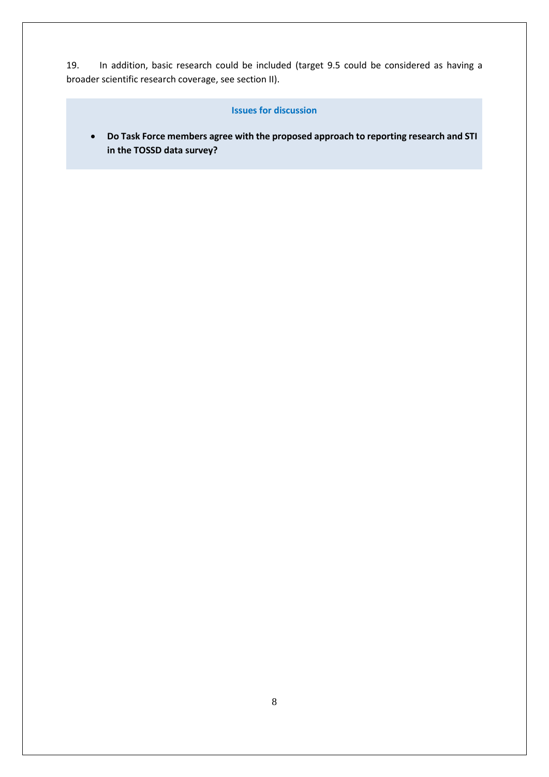19. In addition, basic research could be included (target 9.5 could be considered as having a broader scientific research coverage, see section II).

#### **Issues for discussion**

 **Do Task Force members agree with the proposed approach to reporting research and STI in the TOSSD data survey?**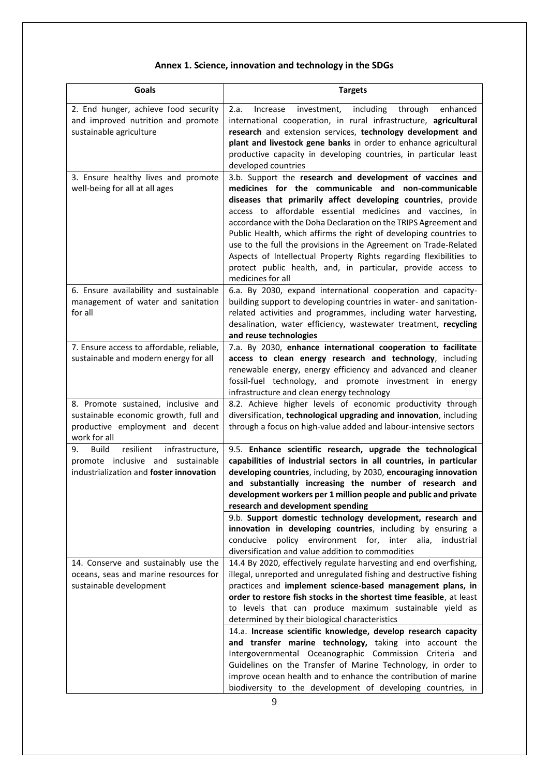# **Annex 1. Science, innovation and technology in the SDGs**

| <b>Goals</b>                                                                                                                     | <b>Targets</b>                                                                                                                                                                                                                                                                                                                                                                                                                                                                                                                                          |
|----------------------------------------------------------------------------------------------------------------------------------|---------------------------------------------------------------------------------------------------------------------------------------------------------------------------------------------------------------------------------------------------------------------------------------------------------------------------------------------------------------------------------------------------------------------------------------------------------------------------------------------------------------------------------------------------------|
| 2. End hunger, achieve food security<br>and improved nutrition and promote                                                       | 2.a.<br>investment,<br>including<br>through<br>enhanced<br>Increase<br>international cooperation, in rural infrastructure, agricultural                                                                                                                                                                                                                                                                                                                                                                                                                 |
| sustainable agriculture                                                                                                          | research and extension services, technology development and                                                                                                                                                                                                                                                                                                                                                                                                                                                                                             |
|                                                                                                                                  | plant and livestock gene banks in order to enhance agricultural                                                                                                                                                                                                                                                                                                                                                                                                                                                                                         |
|                                                                                                                                  | productive capacity in developing countries, in particular least<br>developed countries                                                                                                                                                                                                                                                                                                                                                                                                                                                                 |
| 3. Ensure healthy lives and promote                                                                                              | 3.b. Support the research and development of vaccines and                                                                                                                                                                                                                                                                                                                                                                                                                                                                                               |
| well-being for all at all ages                                                                                                   | medicines for the communicable and non-communicable<br>diseases that primarily affect developing countries, provide<br>access to affordable essential medicines and vaccines, in<br>accordance with the Doha Declaration on the TRIPS Agreement and<br>Public Health, which affirms the right of developing countries to<br>use to the full the provisions in the Agreement on Trade-Related<br>Aspects of Intellectual Property Rights regarding flexibilities to<br>protect public health, and, in particular, provide access to<br>medicines for all |
| 6. Ensure availability and sustainable<br>management of water and sanitation<br>for all                                          | 6.a. By 2030, expand international cooperation and capacity-<br>building support to developing countries in water- and sanitation-<br>related activities and programmes, including water harvesting,<br>desalination, water efficiency, wastewater treatment, recycling<br>and reuse technologies                                                                                                                                                                                                                                                       |
| 7. Ensure access to affordable, reliable,                                                                                        | 7.a. By 2030, enhance international cooperation to facilitate                                                                                                                                                                                                                                                                                                                                                                                                                                                                                           |
| sustainable and modern energy for all                                                                                            | access to clean energy research and technology, including<br>renewable energy, energy efficiency and advanced and cleaner<br>fossil-fuel technology, and promote investment in energy                                                                                                                                                                                                                                                                                                                                                                   |
|                                                                                                                                  | infrastructure and clean energy technology                                                                                                                                                                                                                                                                                                                                                                                                                                                                                                              |
| 8. Promote sustained, inclusive and<br>sustainable economic growth, full and<br>productive employment and decent<br>work for all | 8.2. Achieve higher levels of economic productivity through<br>diversification, technological upgrading and innovation, including<br>through a focus on high-value added and labour-intensive sectors                                                                                                                                                                                                                                                                                                                                                   |
| resilient<br><b>Build</b><br>infrastructure,<br>9.                                                                               | 9.5. Enhance scientific research, upgrade the technological                                                                                                                                                                                                                                                                                                                                                                                                                                                                                             |
| promote inclusive and<br>sustainable<br>industrialization and foster innovation                                                  | capabilities of industrial sectors in all countries, in particular<br>developing countries, including, by 2030, encouraging innovation                                                                                                                                                                                                                                                                                                                                                                                                                  |
|                                                                                                                                  | and substantially increasing the number of research and                                                                                                                                                                                                                                                                                                                                                                                                                                                                                                 |
|                                                                                                                                  | development workers per 1 million people and public and private                                                                                                                                                                                                                                                                                                                                                                                                                                                                                         |
|                                                                                                                                  | research and development spending                                                                                                                                                                                                                                                                                                                                                                                                                                                                                                                       |
|                                                                                                                                  | 9.b. Support domestic technology development, research and                                                                                                                                                                                                                                                                                                                                                                                                                                                                                              |
|                                                                                                                                  | innovation in developing countries, including by ensuring a<br>conducive<br>policy environment for, inter alia, industrial                                                                                                                                                                                                                                                                                                                                                                                                                              |
|                                                                                                                                  | diversification and value addition to commodities                                                                                                                                                                                                                                                                                                                                                                                                                                                                                                       |
| 14. Conserve and sustainably use the                                                                                             | 14.4 By 2020, effectively regulate harvesting and end overfishing,                                                                                                                                                                                                                                                                                                                                                                                                                                                                                      |
| oceans, seas and marine resources for                                                                                            | illegal, unreported and unregulated fishing and destructive fishing                                                                                                                                                                                                                                                                                                                                                                                                                                                                                     |
| sustainable development                                                                                                          | practices and implement science-based management plans, in<br>order to restore fish stocks in the shortest time feasible, at least                                                                                                                                                                                                                                                                                                                                                                                                                      |
|                                                                                                                                  | to levels that can produce maximum sustainable yield as                                                                                                                                                                                                                                                                                                                                                                                                                                                                                                 |
|                                                                                                                                  | determined by their biological characteristics                                                                                                                                                                                                                                                                                                                                                                                                                                                                                                          |
|                                                                                                                                  | 14.a. Increase scientific knowledge, develop research capacity                                                                                                                                                                                                                                                                                                                                                                                                                                                                                          |
|                                                                                                                                  | and transfer marine technology, taking into account the                                                                                                                                                                                                                                                                                                                                                                                                                                                                                                 |
|                                                                                                                                  | Intergovernmental Oceanographic Commission Criteria and<br>Guidelines on the Transfer of Marine Technology, in order to                                                                                                                                                                                                                                                                                                                                                                                                                                 |
|                                                                                                                                  | improve ocean health and to enhance the contribution of marine                                                                                                                                                                                                                                                                                                                                                                                                                                                                                          |
|                                                                                                                                  | biodiversity to the development of developing countries, in                                                                                                                                                                                                                                                                                                                                                                                                                                                                                             |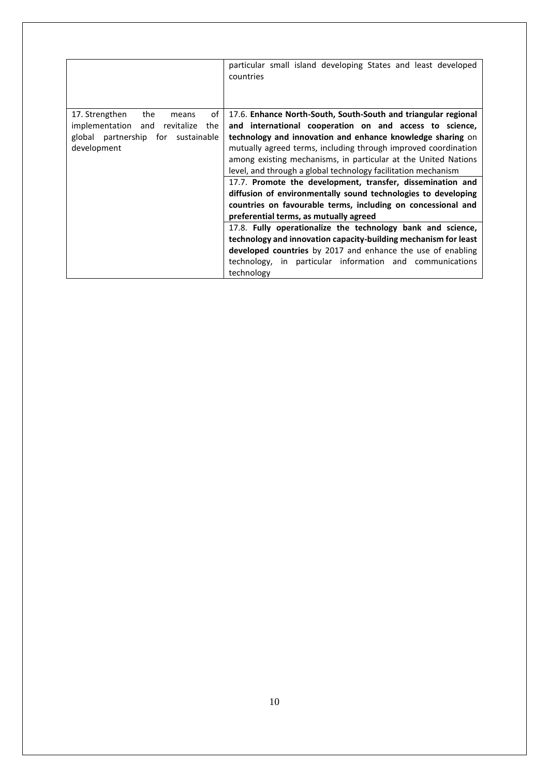|                                         | particular small island developing States and least developed<br>countries |
|-----------------------------------------|----------------------------------------------------------------------------|
| the<br>17. Strengthen<br>οf<br>means    | 17.6. Enhance North-South, South-South and triangular regional             |
| implementation and<br>revitalize<br>the | and international cooperation on and access to science,                    |
| global partnership for sustainable      | technology and innovation and enhance knowledge sharing on                 |
| development                             | mutually agreed terms, including through improved coordination             |
|                                         | among existing mechanisms, in particular at the United Nations             |
|                                         | level, and through a global technology facilitation mechanism              |
|                                         | 17.7. Promote the development, transfer, dissemination and                 |
|                                         | diffusion of environmentally sound technologies to developing              |
|                                         | countries on favourable terms, including on concessional and               |
|                                         | preferential terms, as mutually agreed                                     |
|                                         | 17.8. Fully operationalize the technology bank and science,                |
|                                         | technology and innovation capacity-building mechanism for least            |
|                                         | developed countries by 2017 and enhance the use of enabling                |
|                                         | technology, in particular information and communications                   |
|                                         | technology                                                                 |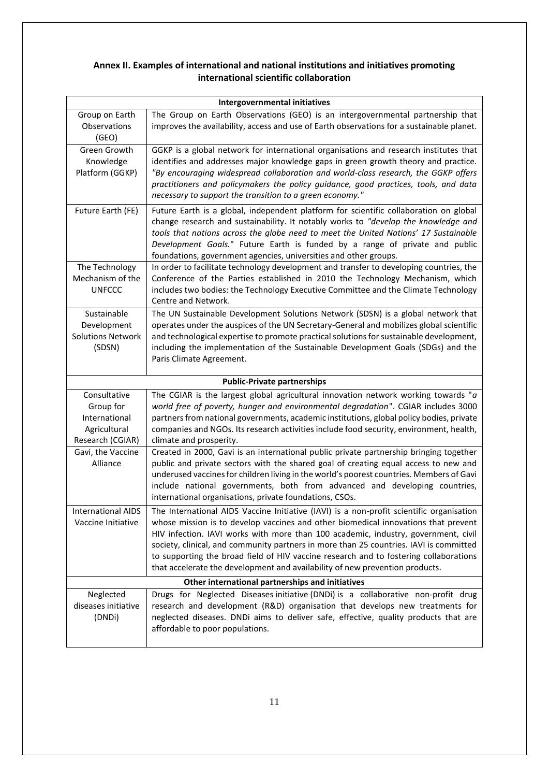# **Annex II. Examples of international and national institutions and initiatives promoting international scientific collaboration**

| <b>Intergovernmental initiatives</b>                                           |                                                                                                                                                                                                                                                                                                                                                                                                                                                                                                                                         |  |
|--------------------------------------------------------------------------------|-----------------------------------------------------------------------------------------------------------------------------------------------------------------------------------------------------------------------------------------------------------------------------------------------------------------------------------------------------------------------------------------------------------------------------------------------------------------------------------------------------------------------------------------|--|
| Group on Earth<br>Observations<br>(GEO)                                        | The Group on Earth Observations (GEO) is an intergovernmental partnership that<br>improves the availability, access and use of Earth observations for a sustainable planet.                                                                                                                                                                                                                                                                                                                                                             |  |
| Green Growth<br>Knowledge<br>Platform (GGKP)                                   | GGKP is a global network for international organisations and research institutes that<br>identifies and addresses major knowledge gaps in green growth theory and practice.<br>"By encouraging widespread collaboration and world-class research, the GGKP offers<br>practitioners and policymakers the policy guidance, good practices, tools, and data<br>necessary to support the transition to a green economy."                                                                                                                    |  |
| Future Earth (FE)                                                              | Future Earth is a global, independent platform for scientific collaboration on global<br>change research and sustainability. It notably works to "develop the knowledge and<br>tools that nations across the globe need to meet the United Nations' 17 Sustainable<br>Development Goals." Future Earth is funded by a range of private and public<br>foundations, government agencies, universities and other groups.                                                                                                                   |  |
| The Technology<br>Mechanism of the<br><b>UNFCCC</b>                            | In order to facilitate technology development and transfer to developing countries, the<br>Conference of the Parties established in 2010 the Technology Mechanism, which<br>includes two bodies: the Technology Executive Committee and the Climate Technology<br>Centre and Network.                                                                                                                                                                                                                                                   |  |
| Sustainable<br>Development<br><b>Solutions Network</b><br>(SDSN)               | The UN Sustainable Development Solutions Network (SDSN) is a global network that<br>operates under the auspices of the UN Secretary-General and mobilizes global scientific<br>and technological expertise to promote practical solutions for sustainable development,<br>including the implementation of the Sustainable Development Goals (SDGs) and the<br>Paris Climate Agreement.                                                                                                                                                  |  |
|                                                                                | <b>Public-Private partnerships</b>                                                                                                                                                                                                                                                                                                                                                                                                                                                                                                      |  |
| Consultative<br>Group for<br>International<br>Agricultural<br>Research (CGIAR) | The CGIAR is the largest global agricultural innovation network working towards " $a$<br>world free of poverty, hunger and environmental degradation". CGIAR includes 3000<br>partners from national governments, academic institutions, global policy bodies, private<br>companies and NGOs. Its research activities include food security, environment, health,<br>climate and prosperity.                                                                                                                                            |  |
| Gavi, the Vaccine<br>Alliance                                                  | Created in 2000, Gavi is an international public private partnership bringing together<br>public and private sectors with the shared goal of creating equal access to new and<br>underused vaccines for children living in the world's poorest countries. Members of Gavi<br>include national governments, both from advanced and developing countries,<br>international organisations, private foundations, CSOs.                                                                                                                      |  |
| <b>International AIDS</b><br>Vaccine Initiative                                | The International AIDS Vaccine Initiative (IAVI) is a non-profit scientific organisation<br>whose mission is to develop vaccines and other biomedical innovations that prevent<br>HIV infection. IAVI works with more than 100 academic, industry, government, civil<br>society, clinical, and community partners in more than 25 countries. IAVI is committed<br>to supporting the broad field of HIV vaccine research and to fostering collaborations<br>that accelerate the development and availability of new prevention products. |  |
| Other international partnerships and initiatives                               |                                                                                                                                                                                                                                                                                                                                                                                                                                                                                                                                         |  |
| Neglected<br>diseases initiative<br>(DNDi)                                     | Drugs for Neglected Diseases initiative (DNDi) is a collaborative non-profit drug<br>research and development (R&D) organisation that develops new treatments for<br>neglected diseases. DNDi aims to deliver safe, effective, quality products that are<br>affordable to poor populations.                                                                                                                                                                                                                                             |  |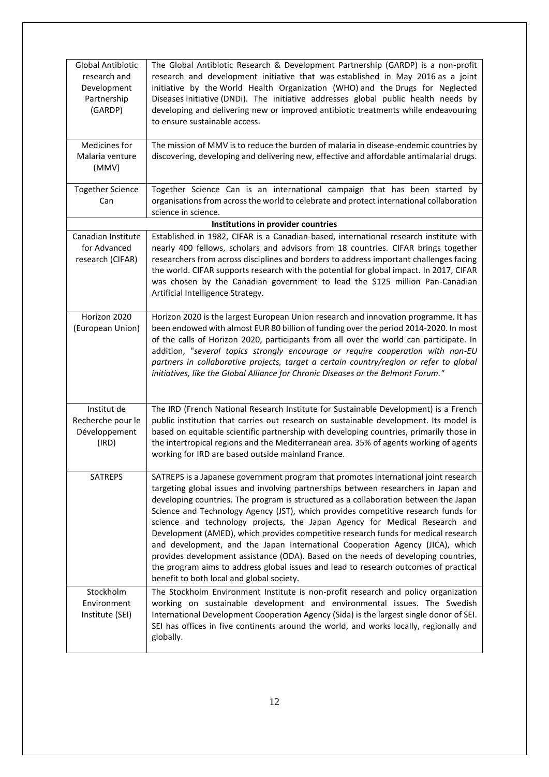| <b>Global Antibiotic</b><br>research and<br>Development<br>Partnership<br>(GARDP) | The Global Antibiotic Research & Development Partnership (GARDP) is a non-profit<br>research and development initiative that was established in May 2016 as a joint<br>initiative by the World Health Organization (WHO) and the Drugs for Neglected<br>Diseases initiative (DNDi). The initiative addresses global public health needs by<br>developing and delivering new or improved antibiotic treatments while endeavouring<br>to ensure sustainable access.                                                                                                                                                                                                                                                                                                                                                                        |  |
|-----------------------------------------------------------------------------------|------------------------------------------------------------------------------------------------------------------------------------------------------------------------------------------------------------------------------------------------------------------------------------------------------------------------------------------------------------------------------------------------------------------------------------------------------------------------------------------------------------------------------------------------------------------------------------------------------------------------------------------------------------------------------------------------------------------------------------------------------------------------------------------------------------------------------------------|--|
| Medicines for<br>Malaria venture<br>(MMV)                                         | The mission of MMV is to reduce the burden of malaria in disease-endemic countries by<br>discovering, developing and delivering new, effective and affordable antimalarial drugs.                                                                                                                                                                                                                                                                                                                                                                                                                                                                                                                                                                                                                                                        |  |
| <b>Together Science</b><br>Can                                                    | Together Science Can is an international campaign that has been started by<br>organisations from across the world to celebrate and protect international collaboration<br>science in science.                                                                                                                                                                                                                                                                                                                                                                                                                                                                                                                                                                                                                                            |  |
| Institutions in provider countries                                                |                                                                                                                                                                                                                                                                                                                                                                                                                                                                                                                                                                                                                                                                                                                                                                                                                                          |  |
| Canadian Institute<br>for Advanced<br>research (CIFAR)                            | Established in 1982, CIFAR is a Canadian-based, international research institute with<br>nearly 400 fellows, scholars and advisors from 18 countries. CIFAR brings together<br>researchers from across disciplines and borders to address important challenges facing<br>the world. CIFAR supports research with the potential for global impact. In 2017, CIFAR<br>was chosen by the Canadian government to lead the \$125 million Pan-Canadian<br>Artificial Intelligence Strategy.                                                                                                                                                                                                                                                                                                                                                    |  |
| Horizon 2020<br>(European Union)                                                  | Horizon 2020 is the largest European Union research and innovation programme. It has<br>been endowed with almost EUR 80 billion of funding over the period 2014-2020. In most<br>of the calls of Horizon 2020, participants from all over the world can participate. In<br>addition, "several topics strongly encourage or require cooperation with non-EU<br>partners in collaborative projects, target a certain country/region or refer to global<br>initiatives, like the Global Alliance for Chronic Diseases or the Belmont Forum."                                                                                                                                                                                                                                                                                                |  |
| Institut de<br>Recherche pour le<br>Développement<br>(IRD)                        | The IRD (French National Research Institute for Sustainable Development) is a French<br>public institution that carries out research on sustainable development. Its model is<br>based on equitable scientific partnership with developing countries, primarily those in<br>the intertropical regions and the Mediterranean area. 35% of agents working of agents<br>working for IRD are based outside mainland France.                                                                                                                                                                                                                                                                                                                                                                                                                  |  |
| <b>SATREPS</b>                                                                    | SATREPS is a Japanese government program that promotes international joint research<br>targeting global issues and involving partnerships between researchers in Japan and<br>developing countries. The program is structured as a collaboration between the Japan<br>Science and Technology Agency (JST), which provides competitive research funds for<br>science and technology projects, the Japan Agency for Medical Research and<br>Development (AMED), which provides competitive research funds for medical research<br>and development, and the Japan International Cooperation Agency (JICA), which<br>provides development assistance (ODA). Based on the needs of developing countries,<br>the program aims to address global issues and lead to research outcomes of practical<br>benefit to both local and global society. |  |
| Stockholm<br>Environment<br>Institute (SEI)                                       | The Stockholm Environment Institute is non-profit research and policy organization<br>working on sustainable development and environmental issues. The Swedish<br>International Development Cooperation Agency (Sida) is the largest single donor of SEI.<br>SEI has offices in five continents around the world, and works locally, regionally and<br>globally.                                                                                                                                                                                                                                                                                                                                                                                                                                                                         |  |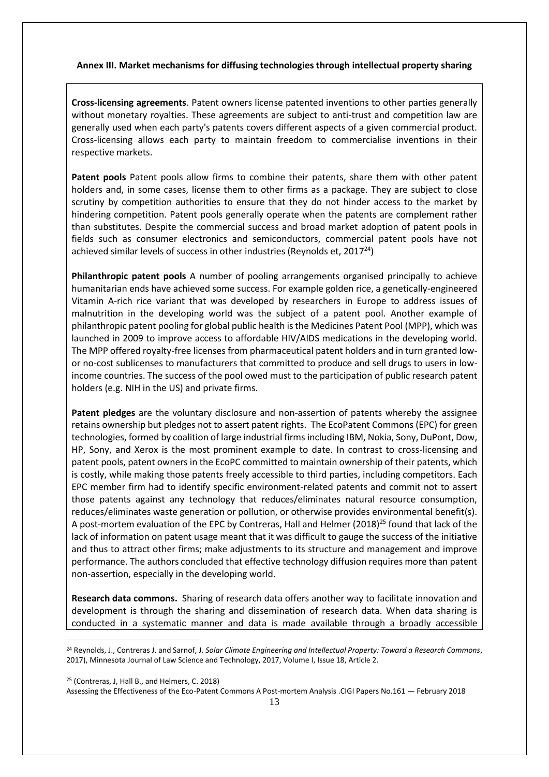### **Annex III. Market mechanisms for diffusing technologies through intellectual property sharing**

**Cross-licensing agreements**. Patent owners license patented inventions to other parties generally without monetary royalties. These agreements are subject to anti-trust and competition law are generally used when each party's patents covers different aspects of a given commercial product. Cross-licensing allows each party to maintain freedom to commercialise inventions in their respective markets.

**Patent pools** Patent pools allow firms to combine their patents, share them with other patent holders and, in some cases, license them to other firms as a package. They are subject to close scrutiny by competition authorities to ensure that they do not hinder access to the market by hindering competition. Patent pools generally operate when the patents are complement rather than substitutes. Despite the commercial success and broad market adoption of patent pools in fields such as consumer electronics and semiconductors, commercial patent pools have not achieved similar levels of success in other industries (Reynolds et,  $2017<sup>24</sup>$ )

**Philanthropic patent pools** A number of pooling arrangements organised principally to achieve humanitarian ends have achieved some success. For example golden rice, a genetically-engineered Vitamin A-rich rice variant that was developed by researchers in Europe to address issues of malnutrition in the developing world was the subject of a patent pool. Another example of philanthropic patent pooling for global public health is the Medicines Patent Pool (MPP), which was launched in 2009 to improve access to affordable HIV/AIDS medications in the developing world. The MPP offered royalty-free licenses from pharmaceutical patent holders and in turn granted lowor no-cost sublicenses to manufacturers that committed to produce and sell drugs to users in lowincome countries. The success of the pool owed must to the participation of public research patent holders (e.g. NIH in the US) and private firms.

**Patent pledges** are the voluntary disclosure and non-assertion of patents whereby the assignee retains ownership but pledges not to assert patent rights. The EcoPatent Commons (EPC) for green technologies, formed by coalition of large industrial firms including IBM, Nokia, Sony, DuPont, Dow, HP, Sony, and Xerox is the most prominent example to date. In contrast to cross-licensing and patent pools, patent owners in the EcoPC committed to maintain ownership of their patents, which is costly, while making those patents freely accessible to third parties, including competitors. Each EPC member firm had to identify specific environment-related patents and commit not to assert those patents against any technology that reduces/eliminates natural resource consumption, reduces/eliminates waste generation or pollution, or otherwise provides environmental benefit(s). A post-mortem evaluation of the EPC by Contreras, Hall and Helmer (2018)<sup>25</sup> found that lack of the lack of information on patent usage meant that it was difficult to gauge the success of the initiative and thus to attract other firms; make adjustments to its structure and management and improve performance. The authors concluded that effective technology diffusion requires more than patent non-assertion, especially in the developing world.

**Research data commons.** Sharing of research data offers another way to facilitate innovation and development is through the sharing and dissemination of research data. When data sharing is conducted in a systematic manner and data is made available through a broadly accessible

<sup>25</sup> (Contreras, J, Hall B., and Helmers, C. 2018)

<u>.</u>

Assessing the Effectiveness of the Eco-Patent Commons A Post-mortem Analysis .CIGI Papers No.161 — February 2018

<sup>24</sup> Reynolds, J., Contreras J. and Sarnof, J. *Solar Climate Engineering and Intellectual Property: Toward a Research Commons*, 2017), Minnesota Journal of Law Science and Technology, 2017, Volume I, Issue 18, Article 2.